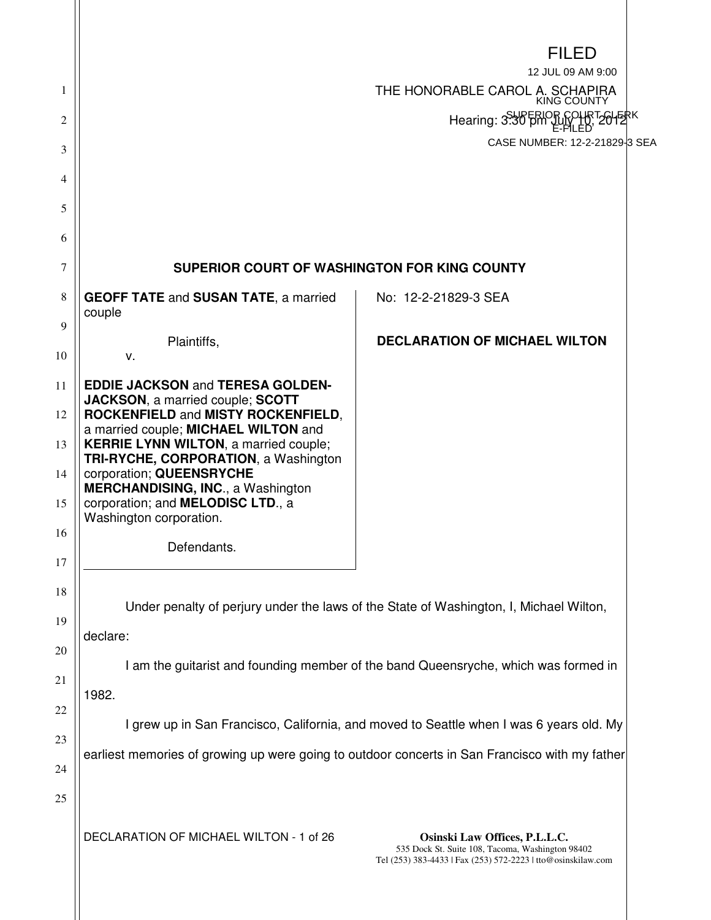|                                        |                                                                                                                                                                                                                                                                                                                                                                                                                        | <b>FILED</b>                                                                                                                                      |  |
|----------------------------------------|------------------------------------------------------------------------------------------------------------------------------------------------------------------------------------------------------------------------------------------------------------------------------------------------------------------------------------------------------------------------------------------------------------------------|---------------------------------------------------------------------------------------------------------------------------------------------------|--|
| 1                                      |                                                                                                                                                                                                                                                                                                                                                                                                                        | 12 JUL 09 AM 9:00<br>THE HONORABLE CAROL A. SCHAPIRA                                                                                              |  |
| 2                                      |                                                                                                                                                                                                                                                                                                                                                                                                                        | KING COUNTY<br>Hearing: 3:30 pm July                                                                                                              |  |
| 3                                      |                                                                                                                                                                                                                                                                                                                                                                                                                        | CASE NUMBER: 12-2-21829-3 SEA                                                                                                                     |  |
| 4                                      |                                                                                                                                                                                                                                                                                                                                                                                                                        |                                                                                                                                                   |  |
| 5                                      |                                                                                                                                                                                                                                                                                                                                                                                                                        |                                                                                                                                                   |  |
| 6                                      |                                                                                                                                                                                                                                                                                                                                                                                                                        |                                                                                                                                                   |  |
| 7                                      | SUPERIOR COURT OF WASHINGTON FOR KING COUNTY                                                                                                                                                                                                                                                                                                                                                                           |                                                                                                                                                   |  |
| 8                                      | <b>GEOFF TATE and SUSAN TATE, a married</b><br>couple                                                                                                                                                                                                                                                                                                                                                                  | No: 12-2-21829-3 SEA                                                                                                                              |  |
| 9<br>10                                | Plaintiffs,<br>v.                                                                                                                                                                                                                                                                                                                                                                                                      | <b>DECLARATION OF MICHAEL WILTON</b>                                                                                                              |  |
| 11<br>12<br>13<br>14<br>15<br>16<br>17 | <b>EDDIE JACKSON and TERESA GOLDEN-</b><br><b>JACKSON, a married couple; SCOTT</b><br>ROCKENFIELD and MISTY ROCKENFIELD,<br>a married couple; MICHAEL WILTON and<br><b>KERRIE LYNN WILTON, a married couple;</b><br><b>TRI-RYCHE, CORPORATION, a Washington</b><br>corporation; QUEENSRYCHE<br><b>MERCHANDISING, INC., a Washington</b><br>corporation; and MELODISC LTD., a<br>Washington corporation.<br>Defendants. |                                                                                                                                                   |  |
| 18<br>19                               | Under penalty of perjury under the laws of the State of Washington, I, Michael Wilton,<br>declare:                                                                                                                                                                                                                                                                                                                     |                                                                                                                                                   |  |
| 20<br>21<br>22                         | I am the guitarist and founding member of the band Queensryche, which was formed in<br>1982.                                                                                                                                                                                                                                                                                                                           |                                                                                                                                                   |  |
| 23                                     | I grew up in San Francisco, California, and moved to Seattle when I was 6 years old. My                                                                                                                                                                                                                                                                                                                                |                                                                                                                                                   |  |
| 24<br>25                               | earliest memories of growing up were going to outdoor concerts in San Francisco with my father                                                                                                                                                                                                                                                                                                                         |                                                                                                                                                   |  |
|                                        | DECLARATION OF MICHAEL WILTON - 1 of 26                                                                                                                                                                                                                                                                                                                                                                                | Osinski Law Offices, P.L.L.C.<br>535 Dock St. Suite 108, Tacoma, Washington 98402<br>Tel (253) 383-4433   Fax (253) 572-2223   tto@osinskilaw.com |  |

 $\parallel$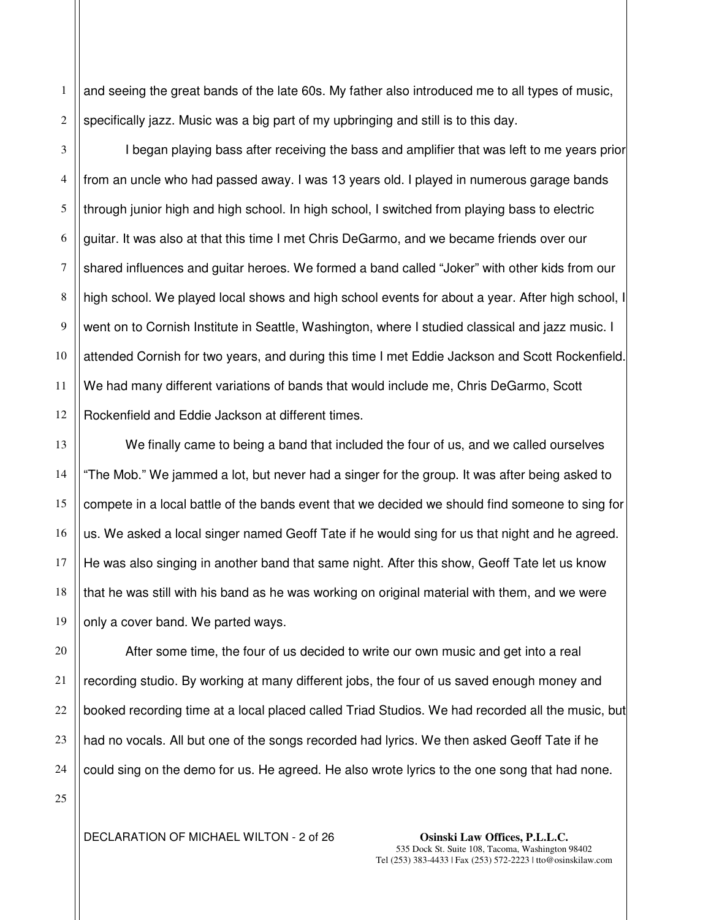1 2 and seeing the great bands of the late 60s. My father also introduced me to all types of music, specifically jazz. Music was a big part of my upbringing and still is to this day.

3 4 5 6 7 8 9 10 11 12 I began playing bass after receiving the bass and amplifier that was left to me years prior from an uncle who had passed away. I was 13 years old. I played in numerous garage bands through junior high and high school. In high school, I switched from playing bass to electric guitar. It was also at that this time I met Chris DeGarmo, and we became friends over our shared influences and guitar heroes. We formed a band called "Joker" with other kids from our high school. We played local shows and high school events for about a year. After high school, I went on to Cornish Institute in Seattle, Washington, where I studied classical and jazz music. I attended Cornish for two years, and during this time I met Eddie Jackson and Scott Rockenfield. We had many different variations of bands that would include me, Chris DeGarmo, Scott Rockenfield and Eddie Jackson at different times.

We finally came to being a band that included the four of us, and we called ourselves "The Mob." We jammed a lot, but never had a singer for the group. It was after being asked to compete in a local battle of the bands event that we decided we should find someone to sing for us. We asked a local singer named Geoff Tate if he would sing for us that night and he agreed. He was also singing in another band that same night. After this show, Geoff Tate let us know that he was still with his band as he was working on original material with them, and we were only a cover band. We parted ways.

After some time, the four of us decided to write our own music and get into a real recording studio. By working at many different jobs, the four of us saved enough money and booked recording time at a local placed called Triad Studios. We had recorded all the music, but had no vocals. All but one of the songs recorded had lyrics. We then asked Geoff Tate if he could sing on the demo for us. He agreed. He also wrote lyrics to the one song that had none.

25

13

14

15

16

17

18

19

20

21

22

23

24

DECLARATION OF MICHAEL WILTON - 2 of 26 **Osinski Law Offices, P.L.L.C.**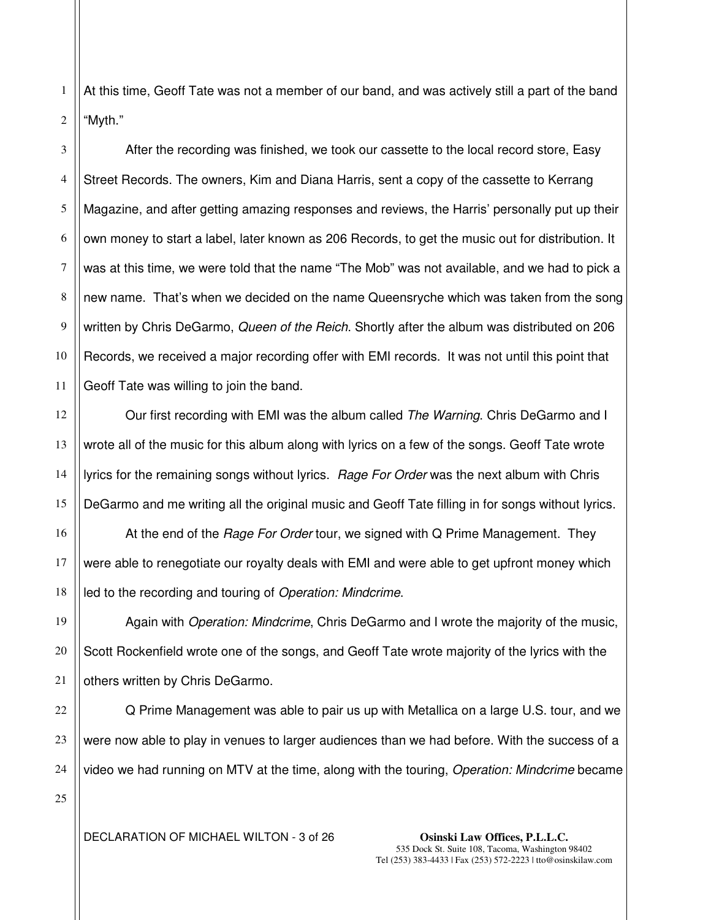2 At this time, Geoff Tate was not a member of our band, and was actively still a part of the band "Myth."

3 4 5 6 7 8 9 10 11 After the recording was finished, we took our cassette to the local record store, Easy Street Records. The owners, Kim and Diana Harris, sent a copy of the cassette to Kerrang Magazine, and after getting amazing responses and reviews, the Harris' personally put up their own money to start a label, later known as 206 Records, to get the music out for distribution. It was at this time, we were told that the name "The Mob" was not available, and we had to pick a new name. That's when we decided on the name Queensryche which was taken from the song written by Chris DeGarmo, Queen of the Reich. Shortly after the album was distributed on 206 Records, we received a major recording offer with EMI records. It was not until this point that Geoff Tate was willing to join the band.

Our first recording with EMI was the album called The Warning. Chris DeGarmo and I wrote all of the music for this album along with lyrics on a few of the songs. Geoff Tate wrote lyrics for the remaining songs without lyrics. Rage For Order was the next album with Chris DeGarmo and me writing all the original music and Geoff Tate filling in for songs without lyrics.

16 17 18 At the end of the *Rage For Order* tour, we signed with Q Prime Management. They were able to renegotiate our royalty deals with EMI and were able to get upfront money which led to the recording and touring of Operation: Mindcrime.

Again with Operation: Mindcrime, Chris DeGarmo and I wrote the majority of the music, Scott Rockenfield wrote one of the songs, and Geoff Tate wrote majority of the lyrics with the others written by Chris DeGarmo.

Q Prime Management was able to pair us up with Metallica on a large U.S. tour, and we were now able to play in venues to larger audiences than we had before. With the success of a video we had running on MTV at the time, along with the touring, Operation: Mindcrime became

25

1

12

13

14

15

19

20

21

22

23

24

DECLARATION OF MICHAEL WILTON - 3 of 26 **Osinski Law Offices, P.L.L.C.**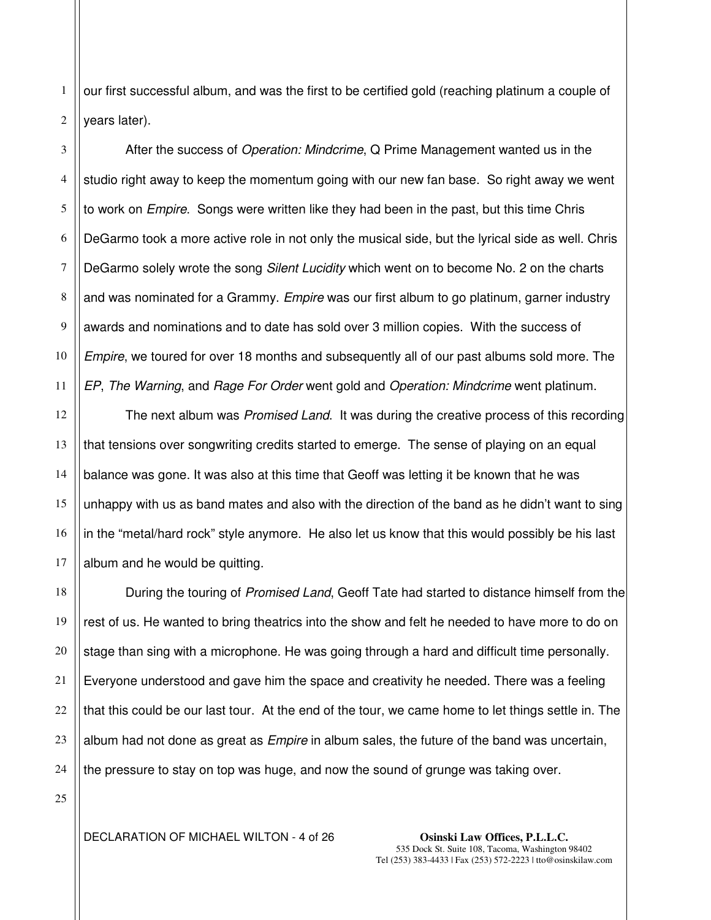1 2 our first successful album, and was the first to be certified gold (reaching platinum a couple of years later).

3 4 5 6 7 8 9 10 11 After the success of Operation: Mindcrime, Q Prime Management wanted us in the studio right away to keep the momentum going with our new fan base. So right away we went to work on *Empire*. Songs were written like they had been in the past, but this time Chris DeGarmo took a more active role in not only the musical side, but the lyrical side as well. Chris DeGarmo solely wrote the song Silent Lucidity which went on to become No. 2 on the charts and was nominated for a Grammy. *Empire* was our first album to go platinum, garner industry awards and nominations and to date has sold over 3 million copies. With the success of Empire, we toured for over 18 months and subsequently all of our past albums sold more. The EP, The Warning, and Rage For Order went gold and Operation: Mindcrime went platinum.

12 16 The next album was Promised Land. It was during the creative process of this recording that tensions over songwriting credits started to emerge. The sense of playing on an equal balance was gone. It was also at this time that Geoff was letting it be known that he was unhappy with us as band mates and also with the direction of the band as he didn't want to sing in the "metal/hard rock" style anymore. He also let us know that this would possibly be his last album and he would be quitting.

During the touring of Promised Land, Geoff Tate had started to distance himself from the rest of us. He wanted to bring theatrics into the show and felt he needed to have more to do on stage than sing with a microphone. He was going through a hard and difficult time personally. Everyone understood and gave him the space and creativity he needed. There was a feeling that this could be our last tour. At the end of the tour, we came home to let things settle in. The album had not done as great as *Empire* in album sales, the future of the band was uncertain, the pressure to stay on top was huge, and now the sound of grunge was taking over.

25

13

14

15

17

18

19

20

21

22

23

24

DECLARATION OF MICHAEL WILTON - 4 of 26 **Osinski Law Offices, P.L.L.C.**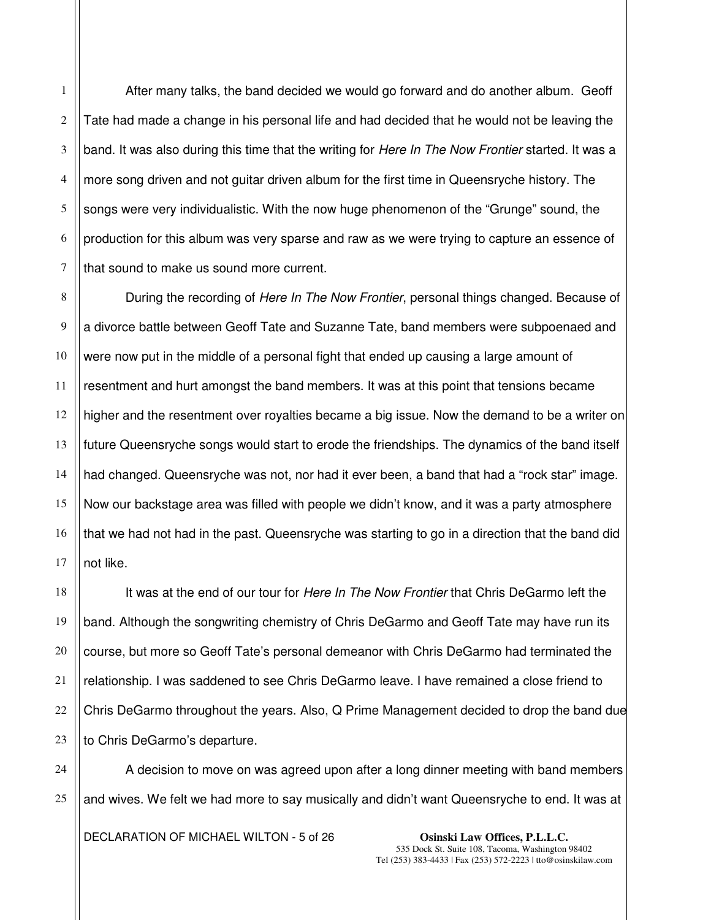After many talks, the band decided we would go forward and do another album. Geoff Tate had made a change in his personal life and had decided that he would not be leaving the band. It was also during this time that the writing for *Here In The Now Frontier* started. It was a more song driven and not guitar driven album for the first time in Queensryche history. The songs were very individualistic. With the now huge phenomenon of the "Grunge" sound, the production for this album was very sparse and raw as we were trying to capture an essence of that sound to make us sound more current.

During the recording of Here In The Now Frontier, personal things changed. Because of a divorce battle between Geoff Tate and Suzanne Tate, band members were subpoenaed and were now put in the middle of a personal fight that ended up causing a large amount of resentment and hurt amongst the band members. It was at this point that tensions became higher and the resentment over royalties became a big issue. Now the demand to be a writer on future Queensryche songs would start to erode the friendships. The dynamics of the band itself had changed. Queensryche was not, nor had it ever been, a band that had a "rock star" image. Now our backstage area was filled with people we didn't know, and it was a party atmosphere that we had not had in the past. Queensryche was starting to go in a direction that the band did not like.

It was at the end of our tour for Here In The Now Frontier that Chris DeGarmo left the band. Although the songwriting chemistry of Chris DeGarmo and Geoff Tate may have run its course, but more so Geoff Tate's personal demeanor with Chris DeGarmo had terminated the relationship. I was saddened to see Chris DeGarmo leave. I have remained a close friend to Chris DeGarmo throughout the years. Also, Q Prime Management decided to drop the band due to Chris DeGarmo's departure.

A decision to move on was agreed upon after a long dinner meeting with band members and wives. We felt we had more to say musically and didn't want Queensryche to end. It was at

DECLARATION OF MICHAEL WILTON - 5 of 26 **Osinski Law Offices, P.L.L.C.** 

1

2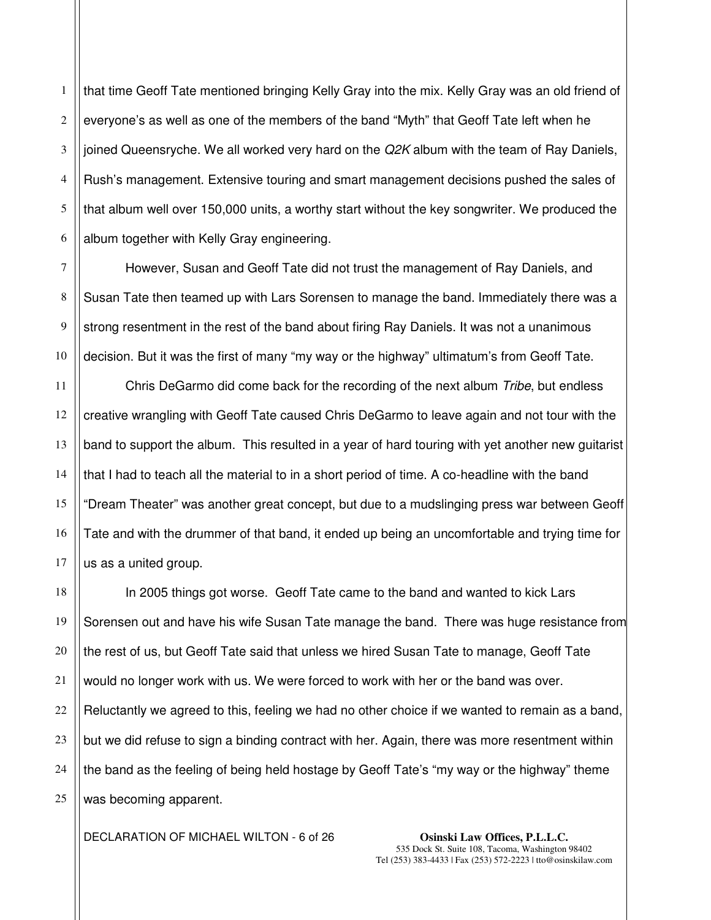1 2 3 4 that time Geoff Tate mentioned bringing Kelly Gray into the mix. Kelly Gray was an old friend of everyone's as well as one of the members of the band "Myth" that Geoff Tate left when he joined Queensryche. We all worked very hard on the  $Q2K$  album with the team of Ray Daniels, Rush's management. Extensive touring and smart management decisions pushed the sales of that album well over 150,000 units, a worthy start without the key songwriter. We produced the album together with Kelly Gray engineering.

However, Susan and Geoff Tate did not trust the management of Ray Daniels, and Susan Tate then teamed up with Lars Sorensen to manage the band. Immediately there was a strong resentment in the rest of the band about firing Ray Daniels. It was not a unanimous decision. But it was the first of many "my way or the highway" ultimatum's from Geoff Tate.

Chris DeGarmo did come back for the recording of the next album Tribe, but endless creative wrangling with Geoff Tate caused Chris DeGarmo to leave again and not tour with the band to support the album. This resulted in a year of hard touring with yet another new guitarist that I had to teach all the material to in a short period of time. A co-headline with the band "Dream Theater" was another great concept, but due to a mudslinging press war between Geoff Tate and with the drummer of that band, it ended up being an uncomfortable and trying time for us as a united group.

In 2005 things got worse. Geoff Tate came to the band and wanted to kick Lars Sorensen out and have his wife Susan Tate manage the band. There was huge resistance from the rest of us, but Geoff Tate said that unless we hired Susan Tate to manage, Geoff Tate would no longer work with us. We were forced to work with her or the band was over. Reluctantly we agreed to this, feeling we had no other choice if we wanted to remain as a band, but we did refuse to sign a binding contract with her. Again, there was more resentment within the band as the feeling of being held hostage by Geoff Tate's "my way or the highway" theme was becoming apparent.

DECLARATION OF MICHAEL WILTON - 6 of 26 **Osinski Law Offices, P.L.L.C.**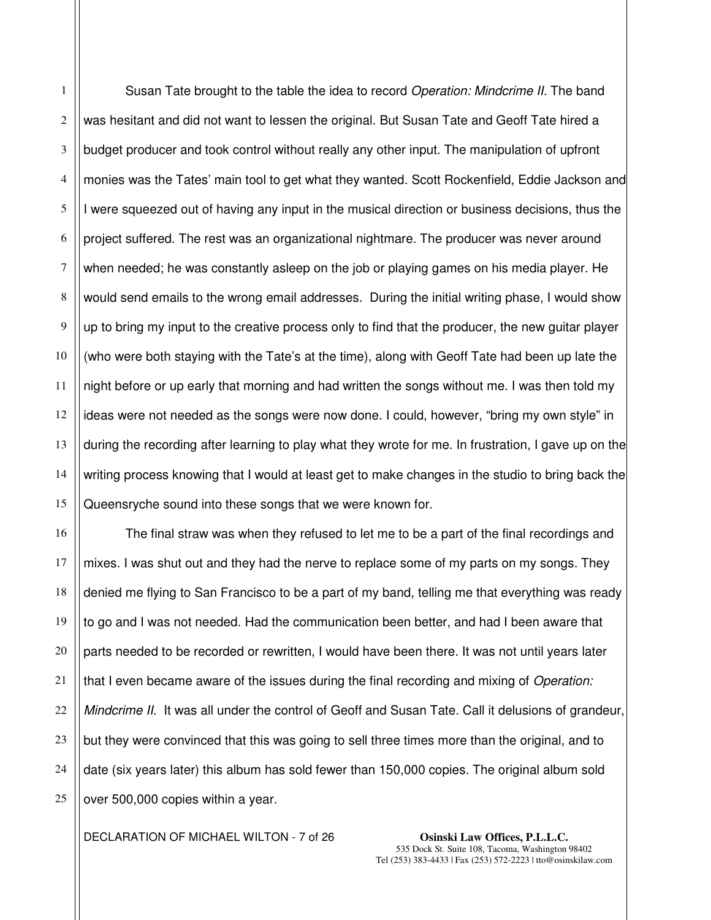1 Susan Tate brought to the table the idea to record *Operation: Mindcrime II.* The band was hesitant and did not want to lessen the original. But Susan Tate and Geoff Tate hired a budget producer and took control without really any other input. The manipulation of upfront monies was the Tates' main tool to get what they wanted. Scott Rockenfield, Eddie Jackson and I were squeezed out of having any input in the musical direction or business decisions, thus the project suffered. The rest was an organizational nightmare. The producer was never around when needed; he was constantly asleep on the job or playing games on his media player. He would send emails to the wrong email addresses. During the initial writing phase, I would show up to bring my input to the creative process only to find that the producer, the new guitar player (who were both staying with the Tate's at the time), along with Geoff Tate had been up late the night before or up early that morning and had written the songs without me. I was then told my ideas were not needed as the songs were now done. I could, however, "bring my own style" in during the recording after learning to play what they wrote for me. In frustration, I gave up on the writing process knowing that I would at least get to make changes in the studio to bring back the Queensryche sound into these songs that we were known for.

The final straw was when they refused to let me to be a part of the final recordings and mixes. I was shut out and they had the nerve to replace some of my parts on my songs. They denied me flying to San Francisco to be a part of my band, telling me that everything was ready to go and I was not needed. Had the communication been better, and had I been aware that parts needed to be recorded or rewritten, I would have been there. It was not until years later that I even became aware of the issues during the final recording and mixing of Operation: Mindcrime II. It was all under the control of Geoff and Susan Tate. Call it delusions of grandeur, but they were convinced that this was going to sell three times more than the original, and to date (six years later) this album has sold fewer than 150,000 copies. The original album sold over 500,000 copies within a year.

DECLARATION OF MICHAEL WILTON - 7 of 26 **Osinski Law Offices, P.L.L.C.**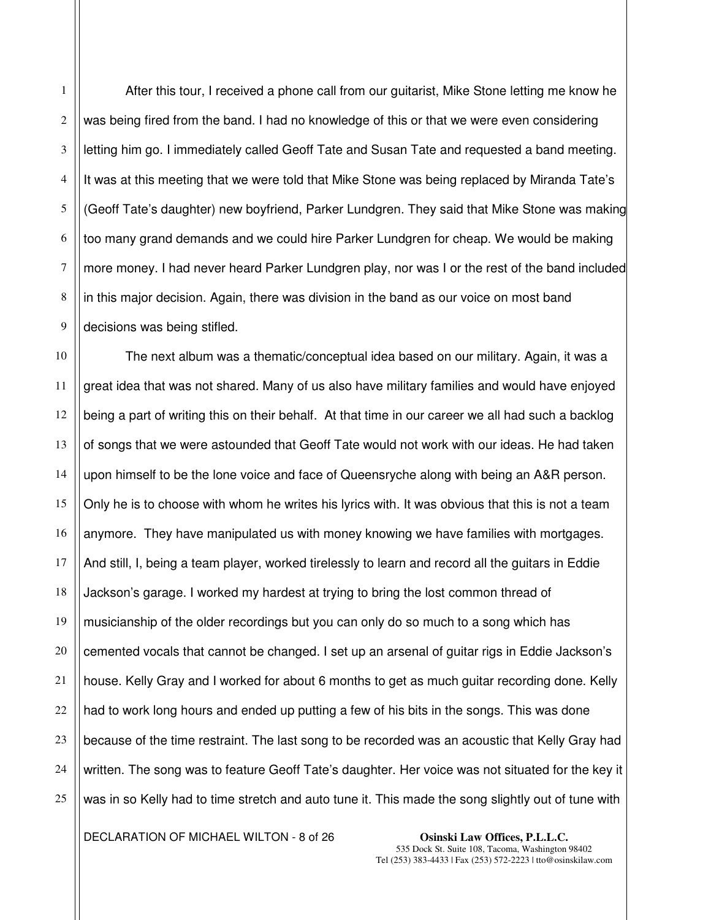After this tour, I received a phone call from our guitarist, Mike Stone letting me know he was being fired from the band. I had no knowledge of this or that we were even considering letting him go. I immediately called Geoff Tate and Susan Tate and requested a band meeting. It was at this meeting that we were told that Mike Stone was being replaced by Miranda Tate's (Geoff Tate's daughter) new boyfriend, Parker Lundgren. They said that Mike Stone was making too many grand demands and we could hire Parker Lundgren for cheap. We would be making more money. I had never heard Parker Lundgren play, nor was I or the rest of the band included in this major decision. Again, there was division in the band as our voice on most band decisions was being stifled.

The next album was a thematic/conceptual idea based on our military. Again, it was a great idea that was not shared. Many of us also have military families and would have enjoyed being a part of writing this on their behalf. At that time in our career we all had such a backlog of songs that we were astounded that Geoff Tate would not work with our ideas. He had taken upon himself to be the lone voice and face of Queensryche along with being an A&R person. Only he is to choose with whom he writes his lyrics with. It was obvious that this is not a team anymore. They have manipulated us with money knowing we have families with mortgages. And still, I, being a team player, worked tirelessly to learn and record all the guitars in Eddie Jackson's garage. I worked my hardest at trying to bring the lost common thread of musicianship of the older recordings but you can only do so much to a song which has cemented vocals that cannot be changed. I set up an arsenal of guitar rigs in Eddie Jackson's house. Kelly Gray and I worked for about 6 months to get as much guitar recording done. Kelly had to work long hours and ended up putting a few of his bits in the songs. This was done because of the time restraint. The last song to be recorded was an acoustic that Kelly Gray had written. The song was to feature Geoff Tate's daughter. Her voice was not situated for the key it was in so Kelly had to time stretch and auto tune it. This made the song slightly out of tune with

DECLARATION OF MICHAEL WILTON - 8 of 26 **Osinski Law Offices, P.L.L.C.** 

1

2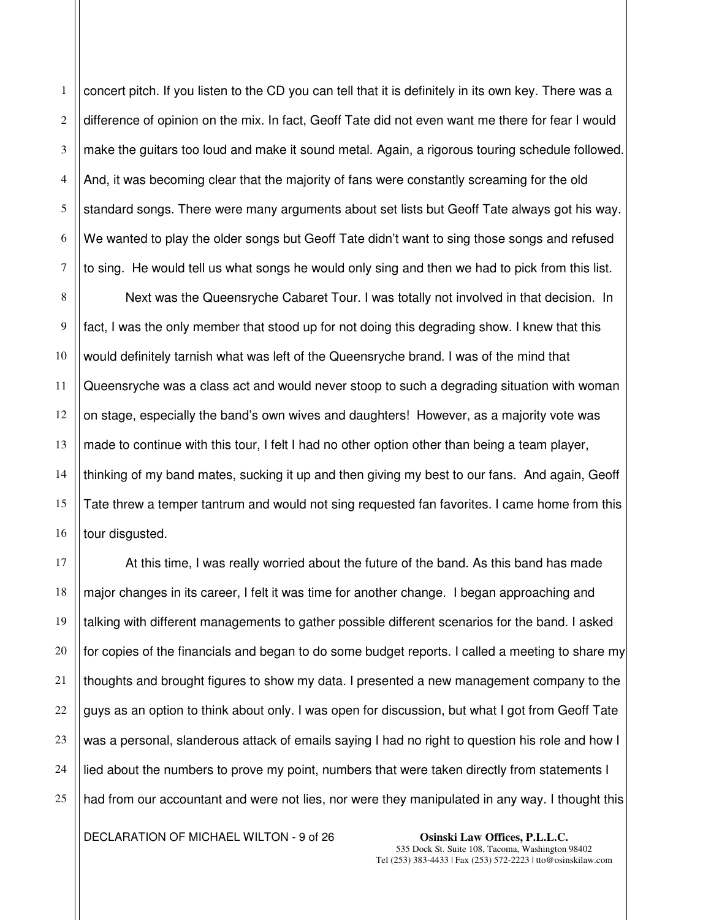1 2 3 4 5 6 7 concert pitch. If you listen to the CD you can tell that it is definitely in its own key. There was a difference of opinion on the mix. In fact, Geoff Tate did not even want me there for fear I would make the guitars too loud and make it sound metal. Again, a rigorous touring schedule followed. And, it was becoming clear that the majority of fans were constantly screaming for the old standard songs. There were many arguments about set lists but Geoff Tate always got his way. We wanted to play the older songs but Geoff Tate didn't want to sing those songs and refused to sing. He would tell us what songs he would only sing and then we had to pick from this list.

8 9 Next was the Queensryche Cabaret Tour. I was totally not involved in that decision. In fact, I was the only member that stood up for not doing this degrading show. I knew that this would definitely tarnish what was left of the Queensryche brand. I was of the mind that Queensryche was a class act and would never stoop to such a degrading situation with woman on stage, especially the band's own wives and daughters! However, as a majority vote was made to continue with this tour, I felt I had no other option other than being a team player, thinking of my band mates, sucking it up and then giving my best to our fans. And again, Geoff Tate threw a temper tantrum and would not sing requested fan favorites. I came home from this tour disgusted.

At this time, I was really worried about the future of the band. As this band has made major changes in its career, I felt it was time for another change. I began approaching and talking with different managements to gather possible different scenarios for the band. I asked for copies of the financials and began to do some budget reports. I called a meeting to share my thoughts and brought figures to show my data. I presented a new management company to the guys as an option to think about only. I was open for discussion, but what I got from Geoff Tate was a personal, slanderous attack of emails saying I had no right to question his role and how I lied about the numbers to prove my point, numbers that were taken directly from statements I had from our accountant and were not lies, nor were they manipulated in any way. I thought this

DECLARATION OF MICHAEL WILTON - 9 of 26 **Osinski Law Offices, P.L.L.C.**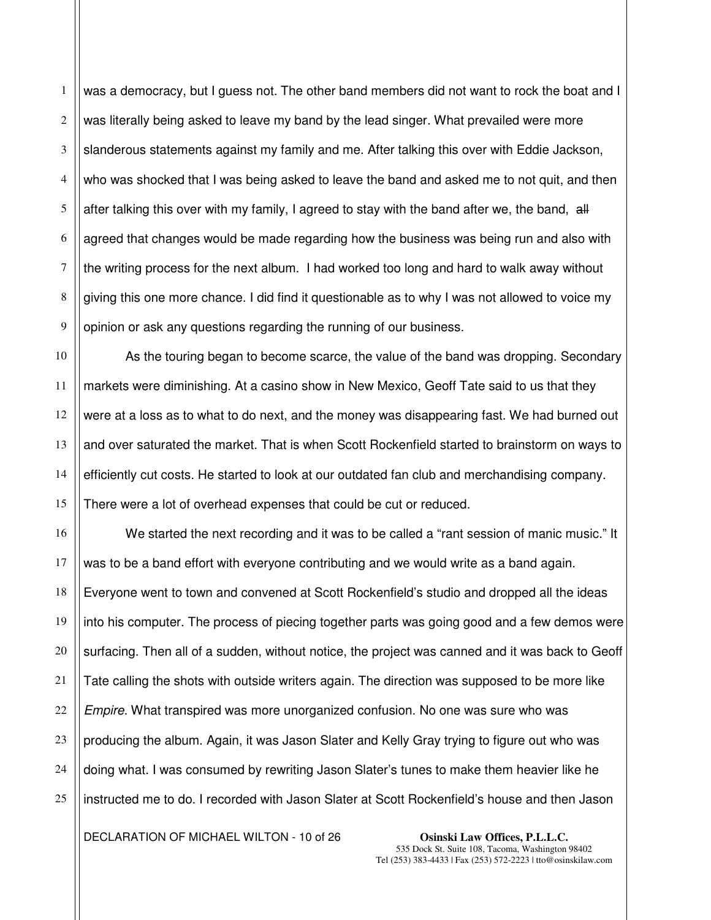1 was a democracy, but I guess not. The other band members did not want to rock the boat and I was literally being asked to leave my band by the lead singer. What prevailed were more slanderous statements against my family and me. After talking this over with Eddie Jackson, who was shocked that I was being asked to leave the band and asked me to not quit, and then after talking this over with my family, I agreed to stay with the band after we, the band,  $\frac{dH}{dt}$ agreed that changes would be made regarding how the business was being run and also with the writing process for the next album. I had worked too long and hard to walk away without giving this one more chance. I did find it questionable as to why I was not allowed to voice my opinion or ask any questions regarding the running of our business.

As the touring began to become scarce, the value of the band was dropping. Secondary markets were diminishing. At a casino show in New Mexico, Geoff Tate said to us that they were at a loss as to what to do next, and the money was disappearing fast. We had burned out and over saturated the market. That is when Scott Rockenfield started to brainstorm on ways to efficiently cut costs. He started to look at our outdated fan club and merchandising company. There were a lot of overhead expenses that could be cut or reduced.

We started the next recording and it was to be called a "rant session of manic music." It was to be a band effort with everyone contributing and we would write as a band again. Everyone went to town and convened at Scott Rockenfield's studio and dropped all the ideas into his computer. The process of piecing together parts was going good and a few demos were surfacing. Then all of a sudden, without notice, the project was canned and it was back to Geoff Tate calling the shots with outside writers again. The direction was supposed to be more like Empire. What transpired was more unorganized confusion. No one was sure who was producing the album. Again, it was Jason Slater and Kelly Gray trying to figure out who was doing what. I was consumed by rewriting Jason Slater's tunes to make them heavier like he instructed me to do. I recorded with Jason Slater at Scott Rockenfield's house and then Jason

DECLARATION OF MICHAEL WILTON - 10 of 26 **Osinski Law Offices, P.L.L.C.**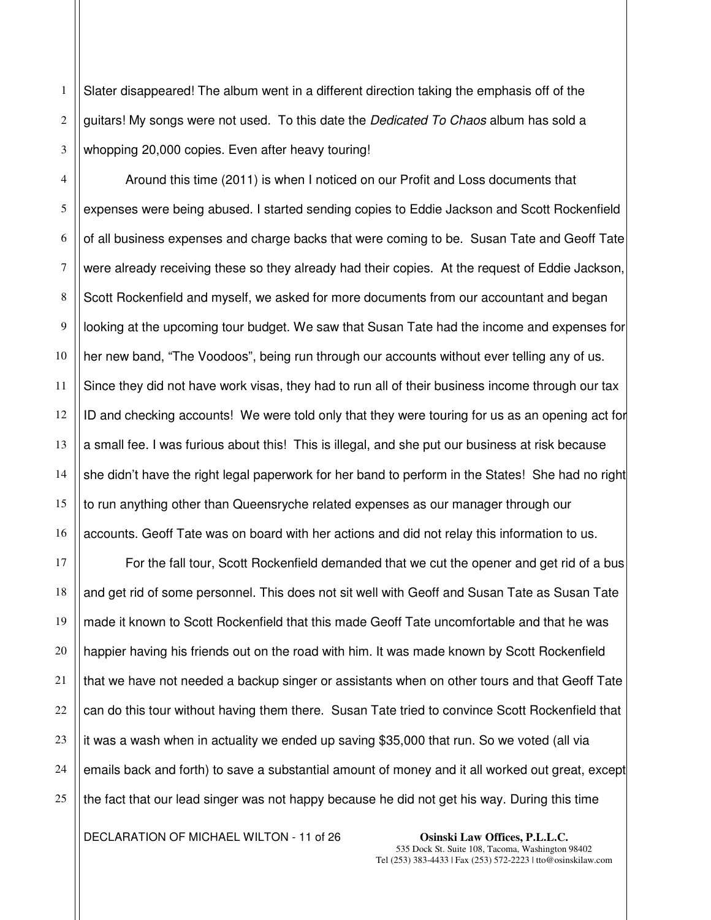1 2 3 Slater disappeared! The album went in a different direction taking the emphasis off of the guitars! My songs were not used. To this date the Dedicated To Chaos album has sold a whopping 20,000 copies. Even after heavy touring!

Around this time (2011) is when I noticed on our Profit and Loss documents that expenses were being abused. I started sending copies to Eddie Jackson and Scott Rockenfield of all business expenses and charge backs that were coming to be. Susan Tate and Geoff Tate were already receiving these so they already had their copies. At the request of Eddie Jackson, Scott Rockenfield and myself, we asked for more documents from our accountant and began looking at the upcoming tour budget. We saw that Susan Tate had the income and expenses for her new band, "The Voodoos", being run through our accounts without ever telling any of us. Since they did not have work visas, they had to run all of their business income through our tax ID and checking accounts! We were told only that they were touring for us as an opening act for a small fee. I was furious about this! This is illegal, and she put our business at risk because she didn't have the right legal paperwork for her band to perform in the States! She had no right to run anything other than Queensryche related expenses as our manager through our accounts. Geoff Tate was on board with her actions and did not relay this information to us.

For the fall tour, Scott Rockenfield demanded that we cut the opener and get rid of a bus and get rid of some personnel. This does not sit well with Geoff and Susan Tate as Susan Tate made it known to Scott Rockenfield that this made Geoff Tate uncomfortable and that he was happier having his friends out on the road with him. It was made known by Scott Rockenfield that we have not needed a backup singer or assistants when on other tours and that Geoff Tate can do this tour without having them there. Susan Tate tried to convince Scott Rockenfield that it was a wash when in actuality we ended up saving \$35,000 that run. So we voted (all via emails back and forth) to save a substantial amount of money and it all worked out great, except the fact that our lead singer was not happy because he did not get his way. During this time

DECLARATION OF MICHAEL WILTON - 11 of 26 **Osinski Law Offices, P.L.L.C.**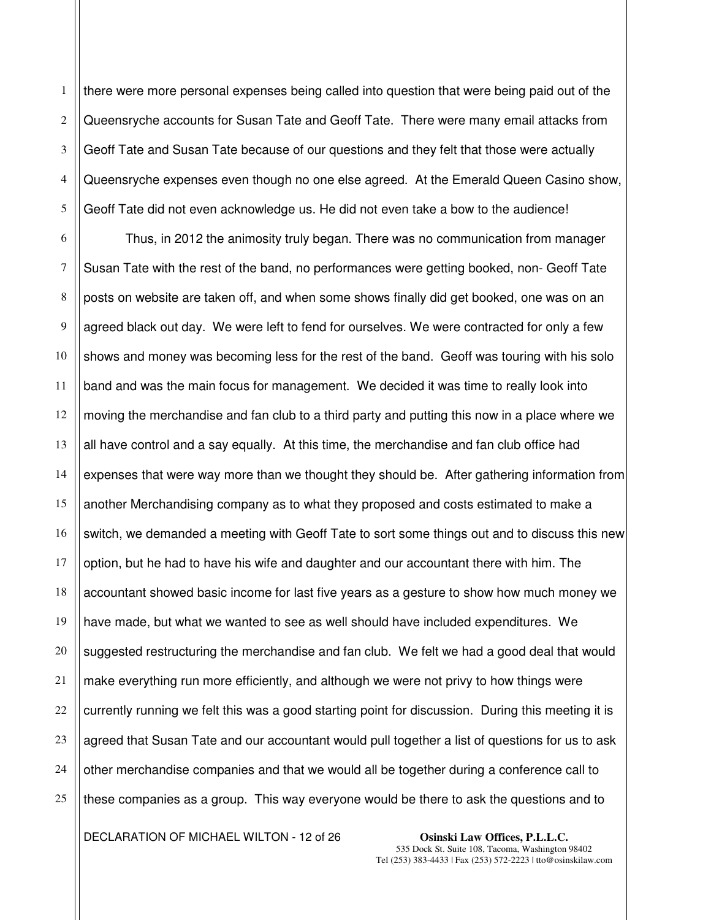4 there were more personal expenses being called into question that were being paid out of the Queensryche accounts for Susan Tate and Geoff Tate. There were many email attacks from Geoff Tate and Susan Tate because of our questions and they felt that those were actually Queensryche expenses even though no one else agreed. At the Emerald Queen Casino show, Geoff Tate did not even acknowledge us. He did not even take a bow to the audience!

6 7 8 9 10 11 12 13 14 15 16 17 18 19 23 24 25 Thus, in 2012 the animosity truly began. There was no communication from manager Susan Tate with the rest of the band, no performances were getting booked, non- Geoff Tate posts on website are taken off, and when some shows finally did get booked, one was on an agreed black out day. We were left to fend for ourselves. We were contracted for only a few shows and money was becoming less for the rest of the band. Geoff was touring with his solo band and was the main focus for management. We decided it was time to really look into moving the merchandise and fan club to a third party and putting this now in a place where we all have control and a say equally. At this time, the merchandise and fan club office had expenses that were way more than we thought they should be. After gathering information from another Merchandising company as to what they proposed and costs estimated to make a switch, we demanded a meeting with Geoff Tate to sort some things out and to discuss this new option, but he had to have his wife and daughter and our accountant there with him. The accountant showed basic income for last five years as a gesture to show how much money we have made, but what we wanted to see as well should have included expenditures. We suggested restructuring the merchandise and fan club. We felt we had a good deal that would make everything run more efficiently, and although we were not privy to how things were currently running we felt this was a good starting point for discussion. During this meeting it is agreed that Susan Tate and our accountant would pull together a list of questions for us to ask other merchandise companies and that we would all be together during a conference call to these companies as a group. This way everyone would be there to ask the questions and to

DECLARATION OF MICHAEL WILTON - 12 of 26 **Osinski Law Offices, P.L.L.C.** 

20 21 22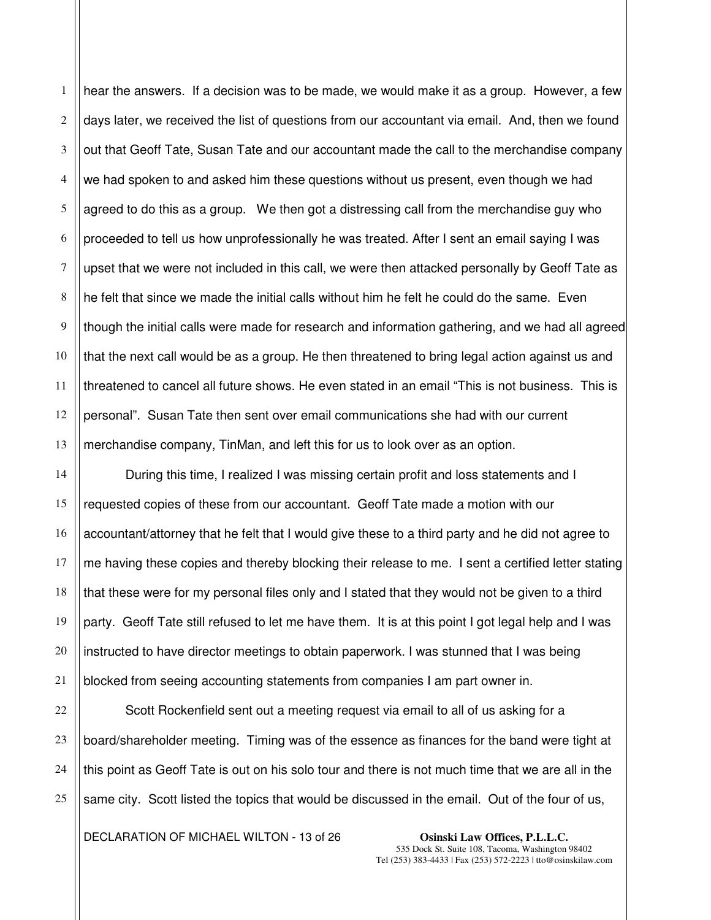1 2 3 hear the answers. If a decision was to be made, we would make it as a group. However, a few days later, we received the list of questions from our accountant via email. And, then we found out that Geoff Tate, Susan Tate and our accountant made the call to the merchandise company we had spoken to and asked him these questions without us present, even though we had agreed to do this as a group. We then got a distressing call from the merchandise guy who proceeded to tell us how unprofessionally he was treated. After I sent an email saying I was upset that we were not included in this call, we were then attacked personally by Geoff Tate as he felt that since we made the initial calls without him he felt he could do the same. Even though the initial calls were made for research and information gathering, and we had all agreed that the next call would be as a group. He then threatened to bring legal action against us and threatened to cancel all future shows. He even stated in an email "This is not business. This is personal". Susan Tate then sent over email communications she had with our current merchandise company, TinMan, and left this for us to look over as an option.

During this time, I realized I was missing certain profit and loss statements and I requested copies of these from our accountant. Geoff Tate made a motion with our accountant/attorney that he felt that I would give these to a third party and he did not agree to me having these copies and thereby blocking their release to me. I sent a certified letter stating that these were for my personal files only and I stated that they would not be given to a third party. Geoff Tate still refused to let me have them. It is at this point I got legal help and I was instructed to have director meetings to obtain paperwork. I was stunned that I was being blocked from seeing accounting statements from companies I am part owner in.

Scott Rockenfield sent out a meeting request via email to all of us asking for a board/shareholder meeting. Timing was of the essence as finances for the band were tight at this point as Geoff Tate is out on his solo tour and there is not much time that we are all in the same city. Scott listed the topics that would be discussed in the email. Out of the four of us,

DECLARATION OF MICHAEL WILTON - 13 of 26 **Osinski Law Offices, P.L.L.C.**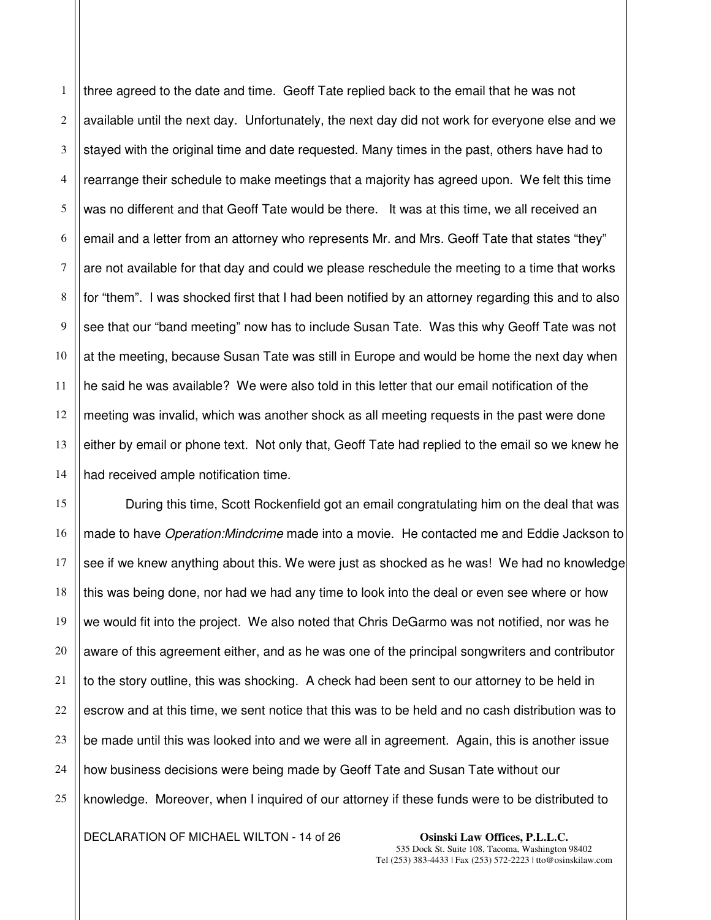1 2 3 4 5 6 7 three agreed to the date and time. Geoff Tate replied back to the email that he was not available until the next day. Unfortunately, the next day did not work for everyone else and we stayed with the original time and date requested. Many times in the past, others have had to rearrange their schedule to make meetings that a majority has agreed upon. We felt this time was no different and that Geoff Tate would be there. It was at this time, we all received an email and a letter from an attorney who represents Mr. and Mrs. Geoff Tate that states "they" are not available for that day and could we please reschedule the meeting to a time that works for "them". I was shocked first that I had been notified by an attorney regarding this and to also see that our "band meeting" now has to include Susan Tate. Was this why Geoff Tate was not at the meeting, because Susan Tate was still in Europe and would be home the next day when he said he was available? We were also told in this letter that our email notification of the meeting was invalid, which was another shock as all meeting requests in the past were done either by email or phone text. Not only that, Geoff Tate had replied to the email so we knew he had received ample notification time.

During this time, Scott Rockenfield got an email congratulating him on the deal that was made to have *Operation:Mindcrime* made into a movie. He contacted me and Eddie Jackson to see if we knew anything about this. We were just as shocked as he was! We had no knowledge this was being done, nor had we had any time to look into the deal or even see where or how we would fit into the project. We also noted that Chris DeGarmo was not notified, nor was he aware of this agreement either, and as he was one of the principal songwriters and contributor to the story outline, this was shocking. A check had been sent to our attorney to be held in escrow and at this time, we sent notice that this was to be held and no cash distribution was to be made until this was looked into and we were all in agreement. Again, this is another issue how business decisions were being made by Geoff Tate and Susan Tate without our knowledge. Moreover, when I inquired of our attorney if these funds were to be distributed to

DECLARATION OF MICHAEL WILTON - 14 of 26 **Osinski Law Offices, P.L.L.C.**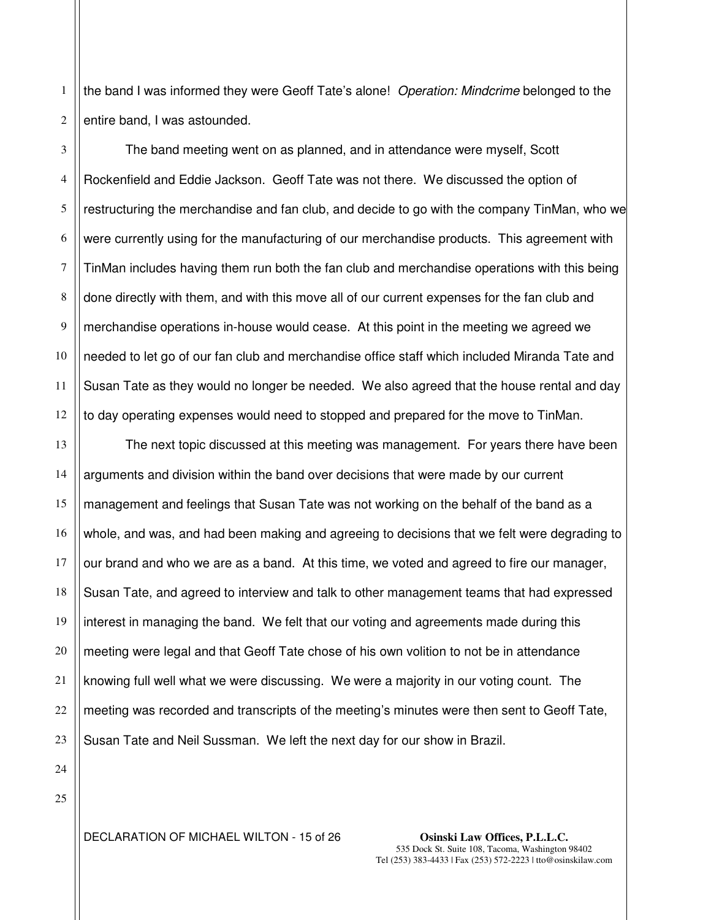1 2 the band I was informed they were Geoff Tate's alone! Operation: Mindcrime belonged to the entire band, I was astounded.

3 4 5 6 7 8 9 10 11 12 The band meeting went on as planned, and in attendance were myself, Scott Rockenfield and Eddie Jackson. Geoff Tate was not there. We discussed the option of restructuring the merchandise and fan club, and decide to go with the company TinMan, who we were currently using for the manufacturing of our merchandise products. This agreement with TinMan includes having them run both the fan club and merchandise operations with this being done directly with them, and with this move all of our current expenses for the fan club and merchandise operations in-house would cease. At this point in the meeting we agreed we needed to let go of our fan club and merchandise office staff which included Miranda Tate and Susan Tate as they would no longer be needed. We also agreed that the house rental and day to day operating expenses would need to stopped and prepared for the move to TinMan.

13 14 15 16 17 18 19 20 21 22 23 The next topic discussed at this meeting was management. For years there have been arguments and division within the band over decisions that were made by our current management and feelings that Susan Tate was not working on the behalf of the band as a whole, and was, and had been making and agreeing to decisions that we felt were degrading to our brand and who we are as a band. At this time, we voted and agreed to fire our manager, Susan Tate, and agreed to interview and talk to other management teams that had expressed interest in managing the band. We felt that our voting and agreements made during this meeting were legal and that Geoff Tate chose of his own volition to not be in attendance knowing full well what we were discussing. We were a majority in our voting count. The meeting was recorded and transcripts of the meeting's minutes were then sent to Geoff Tate, Susan Tate and Neil Sussman. We left the next day for our show in Brazil.

25

24

DECLARATION OF MICHAEL WILTON - 15 of 26 **Osinski Law Offices, P.L.L.C.**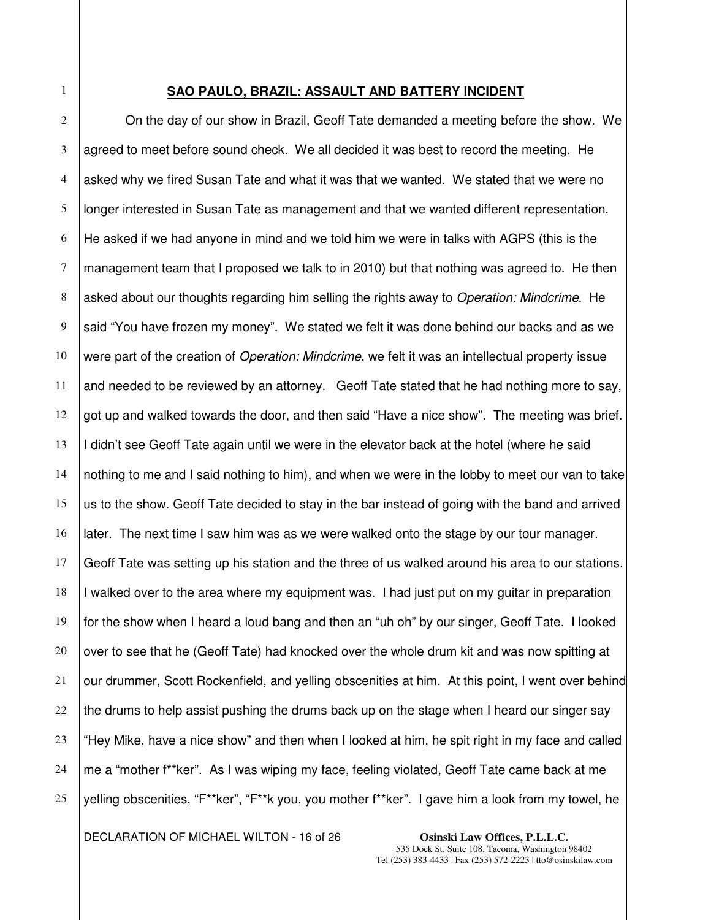### **SAO PAULO, BRAZIL: ASSAULT AND BATTERY INCIDENT**

On the day of our show in Brazil, Geoff Tate demanded a meeting before the show. We agreed to meet before sound check. We all decided it was best to record the meeting. He asked why we fired Susan Tate and what it was that we wanted. We stated that we were no longer interested in Susan Tate as management and that we wanted different representation. He asked if we had anyone in mind and we told him we were in talks with AGPS (this is the management team that I proposed we talk to in 2010) but that nothing was agreed to. He then asked about our thoughts regarding him selling the rights away to *Operation: Mindcrime*. He said "You have frozen my money". We stated we felt it was done behind our backs and as we were part of the creation of *Operation: Mindcrime*, we felt it was an intellectual property issue and needed to be reviewed by an attorney. Geoff Tate stated that he had nothing more to say, got up and walked towards the door, and then said "Have a nice show". The meeting was brief. I didn't see Geoff Tate again until we were in the elevator back at the hotel (where he said nothing to me and I said nothing to him), and when we were in the lobby to meet our van to take us to the show. Geoff Tate decided to stay in the bar instead of going with the band and arrived later. The next time I saw him was as we were walked onto the stage by our tour manager. Geoff Tate was setting up his station and the three of us walked around his area to our stations. I walked over to the area where my equipment was. I had just put on my guitar in preparation for the show when I heard a loud bang and then an "uh oh" by our singer, Geoff Tate. I looked over to see that he (Geoff Tate) had knocked over the whole drum kit and was now spitting at our drummer, Scott Rockenfield, and yelling obscenities at him. At this point, I went over behind the drums to help assist pushing the drums back up on the stage when I heard our singer say "Hey Mike, have a nice show" and then when I looked at him, he spit right in my face and called me a "mother f\*\*ker". As I was wiping my face, feeling violated, Geoff Tate came back at me yelling obscenities, "F\*\*ker", "F\*\*k you, you mother f\*\*ker". I gave him a look from my towel, he

DECLARATION OF MICHAEL WILTON - 16 of 26 **Osinski Law Offices, P.L.L.C.**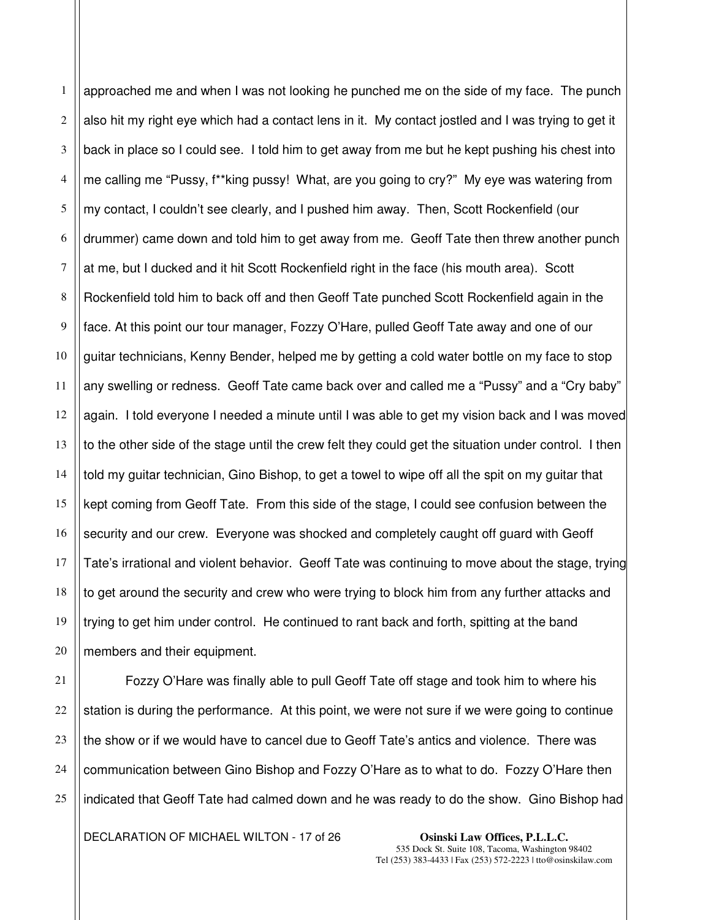1 2 3 4 5 6 7 8 9 10 11 12 13 14 15 16 17 18 19 20 approached me and when I was not looking he punched me on the side of my face. The punch also hit my right eye which had a contact lens in it. My contact jostled and I was trying to get it back in place so I could see. I told him to get away from me but he kept pushing his chest into me calling me "Pussy, f\*\*king pussy! What, are you going to cry?" My eye was watering from my contact, I couldn't see clearly, and I pushed him away. Then, Scott Rockenfield (our drummer) came down and told him to get away from me. Geoff Tate then threw another punch at me, but I ducked and it hit Scott Rockenfield right in the face (his mouth area). Scott Rockenfield told him to back off and then Geoff Tate punched Scott Rockenfield again in the face. At this point our tour manager, Fozzy O'Hare, pulled Geoff Tate away and one of our guitar technicians, Kenny Bender, helped me by getting a cold water bottle on my face to stop any swelling or redness. Geoff Tate came back over and called me a "Pussy" and a "Cry baby" again. I told everyone I needed a minute until I was able to get my vision back and I was moved to the other side of the stage until the crew felt they could get the situation under control. I then told my guitar technician, Gino Bishop, to get a towel to wipe off all the spit on my guitar that kept coming from Geoff Tate. From this side of the stage, I could see confusion between the security and our crew. Everyone was shocked and completely caught off guard with Geoff Tate's irrational and violent behavior. Geoff Tate was continuing to move about the stage, trying to get around the security and crew who were trying to block him from any further attacks and trying to get him under control. He continued to rant back and forth, spitting at the band members and their equipment.

21 22 23 24 25 Fozzy O'Hare was finally able to pull Geoff Tate off stage and took him to where his station is during the performance. At this point, we were not sure if we were going to continue the show or if we would have to cancel due to Geoff Tate's antics and violence. There was communication between Gino Bishop and Fozzy O'Hare as to what to do. Fozzy O'Hare then indicated that Geoff Tate had calmed down and he was ready to do the show. Gino Bishop had

DECLARATION OF MICHAEL WILTON - 17 of 26 **Osinski Law Offices, P.L.L.C.**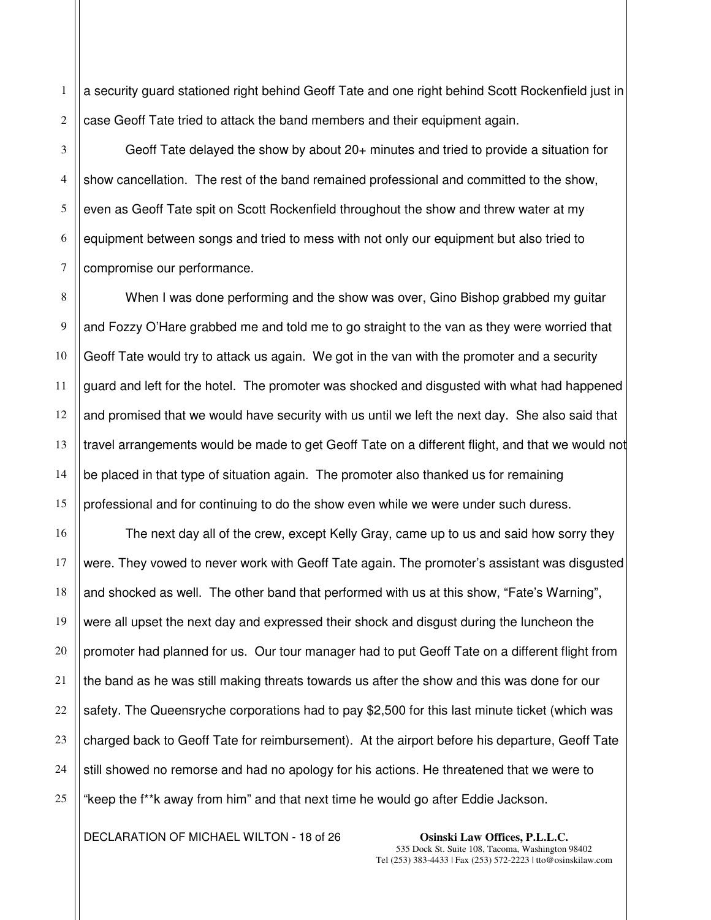1 2 a security guard stationed right behind Geoff Tate and one right behind Scott Rockenfield just in case Geoff Tate tried to attack the band members and their equipment again.

Geoff Tate delayed the show by about 20+ minutes and tried to provide a situation for show cancellation. The rest of the band remained professional and committed to the show, even as Geoff Tate spit on Scott Rockenfield throughout the show and threw water at my equipment between songs and tried to mess with not only our equipment but also tried to compromise our performance.

When I was done performing and the show was over, Gino Bishop grabbed my guitar and Fozzy O'Hare grabbed me and told me to go straight to the van as they were worried that Geoff Tate would try to attack us again. We got in the van with the promoter and a security guard and left for the hotel. The promoter was shocked and disgusted with what had happened and promised that we would have security with us until we left the next day. She also said that travel arrangements would be made to get Geoff Tate on a different flight, and that we would not be placed in that type of situation again. The promoter also thanked us for remaining professional and for continuing to do the show even while we were under such duress.

The next day all of the crew, except Kelly Gray, came up to us and said how sorry they were. They vowed to never work with Geoff Tate again. The promoter's assistant was disgusted and shocked as well. The other band that performed with us at this show, "Fate's Warning", were all upset the next day and expressed their shock and disgust during the luncheon the promoter had planned for us. Our tour manager had to put Geoff Tate on a different flight from the band as he was still making threats towards us after the show and this was done for our safety. The Queensryche corporations had to pay \$2,500 for this last minute ticket (which was charged back to Geoff Tate for reimbursement). At the airport before his departure, Geoff Tate still showed no remorse and had no apology for his actions. He threatened that we were to "keep the f\*\*k away from him" and that next time he would go after Eddie Jackson.

DECLARATION OF MICHAEL WILTON - 18 of 26 **Osinski Law Offices, P.L.L.C.**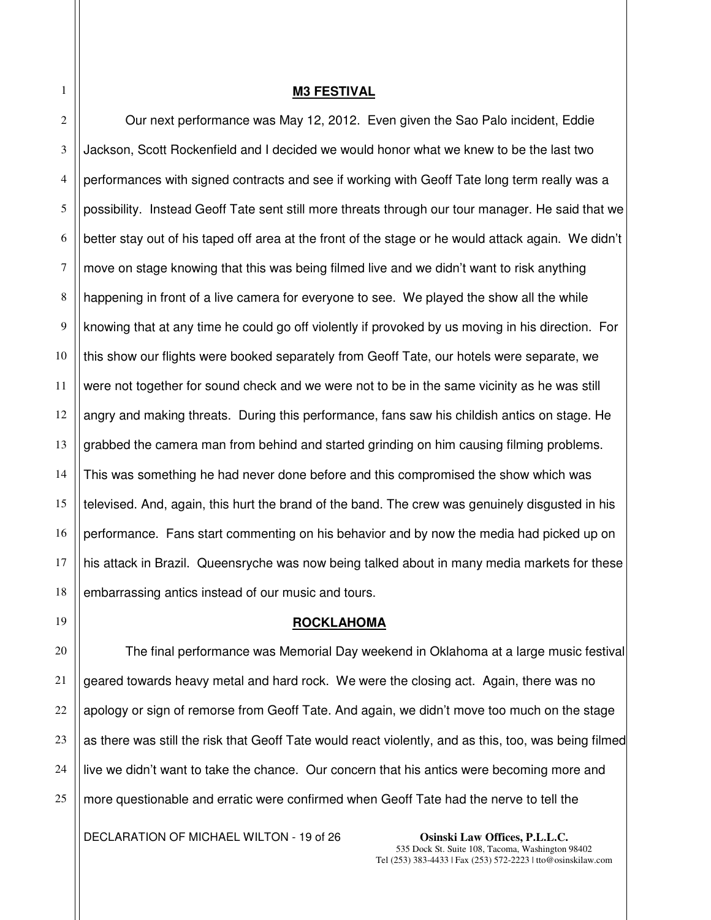### **M3 FESTIVAL**

Our next performance was May 12, 2012. Even given the Sao Palo incident, Eddie Jackson, Scott Rockenfield and I decided we would honor what we knew to be the last two performances with signed contracts and see if working with Geoff Tate long term really was a possibility. Instead Geoff Tate sent still more threats through our tour manager. He said that we better stay out of his taped off area at the front of the stage or he would attack again. We didn't move on stage knowing that this was being filmed live and we didn't want to risk anything happening in front of a live camera for everyone to see. We played the show all the while knowing that at any time he could go off violently if provoked by us moving in his direction. For this show our flights were booked separately from Geoff Tate, our hotels were separate, we were not together for sound check and we were not to be in the same vicinity as he was still angry and making threats. During this performance, fans saw his childish antics on stage. He grabbed the camera man from behind and started grinding on him causing filming problems. This was something he had never done before and this compromised the show which was televised. And, again, this hurt the brand of the band. The crew was genuinely disgusted in his performance. Fans start commenting on his behavior and by now the media had picked up on his attack in Brazil. Queensryche was now being talked about in many media markets for these embarrassing antics instead of our music and tours.

## **ROCKLAHOMA**

The final performance was Memorial Day weekend in Oklahoma at a large music festival geared towards heavy metal and hard rock. We were the closing act. Again, there was no apology or sign of remorse from Geoff Tate. And again, we didn't move too much on the stage as there was still the risk that Geoff Tate would react violently, and as this, too, was being filmed live we didn't want to take the chance. Our concern that his antics were becoming more and more questionable and erratic were confirmed when Geoff Tate had the nerve to tell the

DECLARATION OF MICHAEL WILTON - 19 of 26 **Osinski Law Offices, P.L.L.C.** 

535 Dock St. Suite 108, Tacoma, Washington 98402 Tel (253) 383-4433 | Fax (253) 572-2223 | tto@osinskilaw.com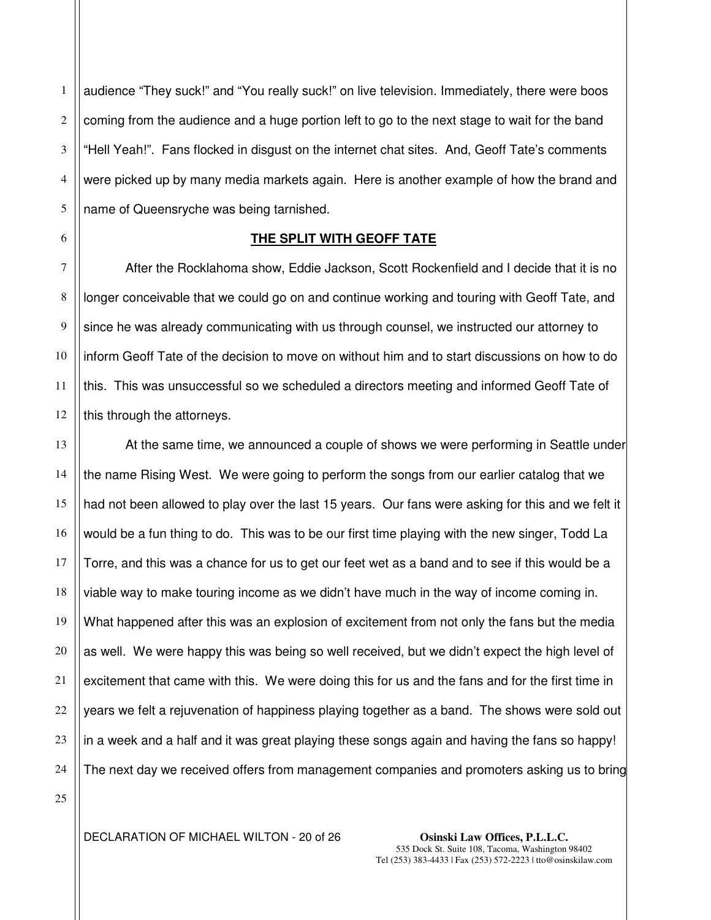1 2 3 4 5 audience "They suck!" and "You really suck!" on live television. Immediately, there were boos coming from the audience and a huge portion left to go to the next stage to wait for the band "Hell Yeah!". Fans flocked in disgust on the internet chat sites. And, Geoff Tate's comments were picked up by many media markets again. Here is another example of how the brand and name of Queensryche was being tarnished.

# **THE SPLIT WITH GEOFF TATE**

After the Rocklahoma show, Eddie Jackson, Scott Rockenfield and I decide that it is no longer conceivable that we could go on and continue working and touring with Geoff Tate, and since he was already communicating with us through counsel, we instructed our attorney to inform Geoff Tate of the decision to move on without him and to start discussions on how to do this. This was unsuccessful so we scheduled a directors meeting and informed Geoff Tate of this through the attorneys.

13 14 15 16 17 18 19 20 21 22 23 24 At the same time, we announced a couple of shows we were performing in Seattle under the name Rising West. We were going to perform the songs from our earlier catalog that we had not been allowed to play over the last 15 years. Our fans were asking for this and we felt it would be a fun thing to do. This was to be our first time playing with the new singer, Todd La Torre, and this was a chance for us to get our feet wet as a band and to see if this would be a viable way to make touring income as we didn't have much in the way of income coming in. What happened after this was an explosion of excitement from not only the fans but the media as well. We were happy this was being so well received, but we didn't expect the high level of excitement that came with this. We were doing this for us and the fans and for the first time in years we felt a rejuvenation of happiness playing together as a band. The shows were sold out in a week and a half and it was great playing these songs again and having the fans so happy! The next day we received offers from management companies and promoters asking us to bring

25

6

7

8

9

10

11

12

DECLARATION OF MICHAEL WILTON - 20 of 26 **Osinski Law Offices, P.L.L.C.**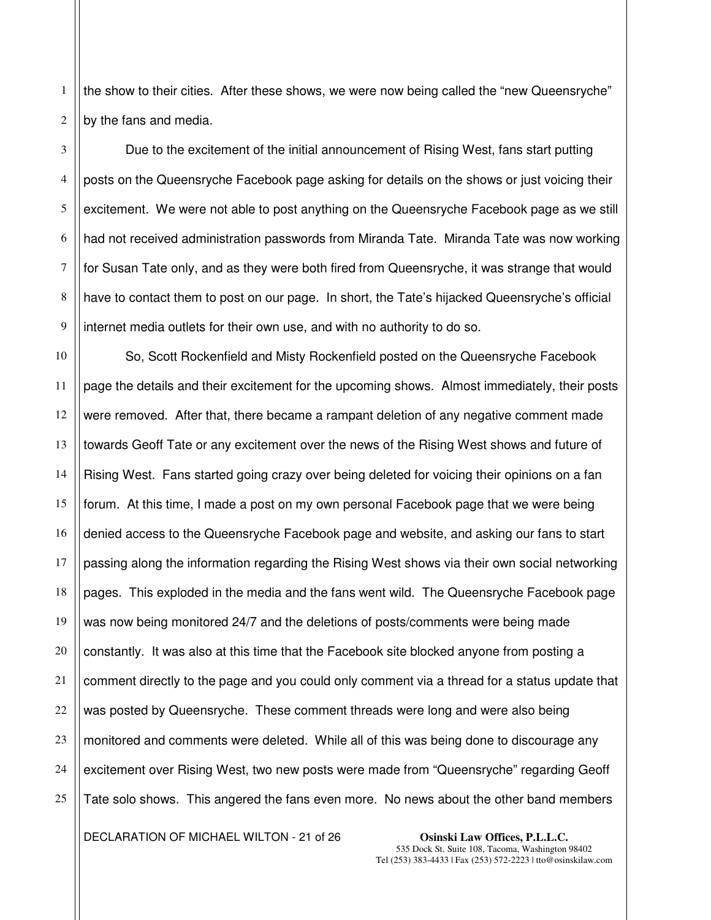2 the show to their cities. After these shows, we were now being called the "new Queensryche" by the fans and media.

3 4 5 Due to the excitement of the initial announcement of Rising West, fans start putting posts on the Queensryche Facebook page asking for details on the shows or just voicing their excitement. We were not able to post anything on the Queensryche Facebook page as we still had not received administration passwords from Miranda Tate. Miranda Tate was now working for Susan Tate only, and as they were both fired from Queensryche, it was strange that would have to contact them to post on our page. In short, the Tate's hijacked Queensryche's official internet media outlets for their own use, and with no authority to do so.

So, Scott Rockenfield and Misty Rockenfield posted on the Queensryche Facebook page the details and their excitement for the upcoming shows. Almost immediately, their posts were removed. After that, there became a rampant deletion of any negative comment made towards Geoff Tate or any excitement over the news of the Rising West shows and future of Rising West. Fans started going crazy over being deleted for voicing their opinions on a fan forum. At this time, I made a post on my own personal Facebook page that we were being denied access to the Queensryche Facebook page and website, and asking our fans to start passing along the information regarding the Rising West shows via their own social networking pages. This exploded in the media and the fans went wild. The Queensryche Facebook page was now being monitored 24/7 and the deletions of posts/comments were being made constantly. It was also at this time that the Facebook site blocked anyone from posting a comment directly to the page and you could only comment via a thread for a status update that was posted by Queensryche. These comment threads were long and were also being monitored and comments were deleted. While all of this was being done to discourage any excitement over Rising West, two new posts were made from "Queensryche" regarding Geoff Tate solo shows. This angered the fans even more. No news about the other band members

DECLARATION OF MICHAEL WILTON - 21 of 26 **Osinski Law Offices, P.L.L.C.**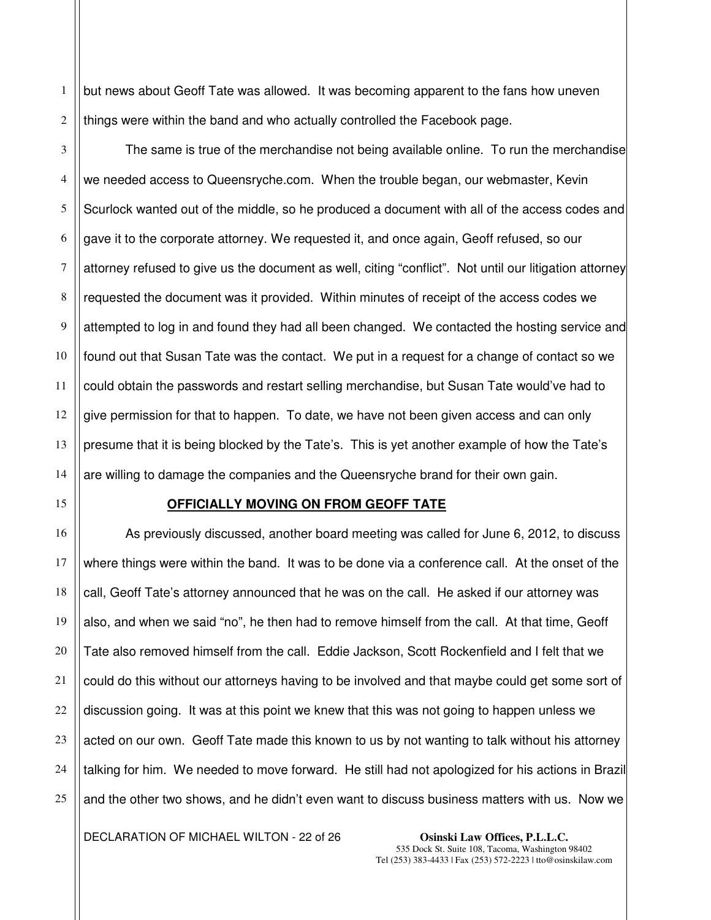1 but news about Geoff Tate was allowed. It was becoming apparent to the fans how uneven things were within the band and who actually controlled the Facebook page.

The same is true of the merchandise not being available online. To run the merchandise we needed access to Queensryche.com. When the trouble began, our webmaster, Kevin Scurlock wanted out of the middle, so he produced a document with all of the access codes and gave it to the corporate attorney. We requested it, and once again, Geoff refused, so our attorney refused to give us the document as well, citing "conflict". Not until our litigation attorney requested the document was it provided. Within minutes of receipt of the access codes we attempted to log in and found they had all been changed. We contacted the hosting service and found out that Susan Tate was the contact. We put in a request for a change of contact so we could obtain the passwords and restart selling merchandise, but Susan Tate would've had to give permission for that to happen. To date, we have not been given access and can only presume that it is being blocked by the Tate's. This is yet another example of how the Tate's are willing to damage the companies and the Queensryche brand for their own gain.

### **OFFICIALLY MOVING ON FROM GEOFF TATE**

As previously discussed, another board meeting was called for June 6, 2012, to discuss where things were within the band. It was to be done via a conference call. At the onset of the call, Geoff Tate's attorney announced that he was on the call. He asked if our attorney was also, and when we said "no", he then had to remove himself from the call. At that time, Geoff Tate also removed himself from the call. Eddie Jackson, Scott Rockenfield and I felt that we could do this without our attorneys having to be involved and that maybe could get some sort of discussion going. It was at this point we knew that this was not going to happen unless we acted on our own. Geoff Tate made this known to us by not wanting to talk without his attorney talking for him. We needed to move forward. He still had not apologized for his actions in Brazil and the other two shows, and he didn't even want to discuss business matters with us. Now we

DECLARATION OF MICHAEL WILTON - 22 of 26 **Osinski Law Offices, P.L.L.C.**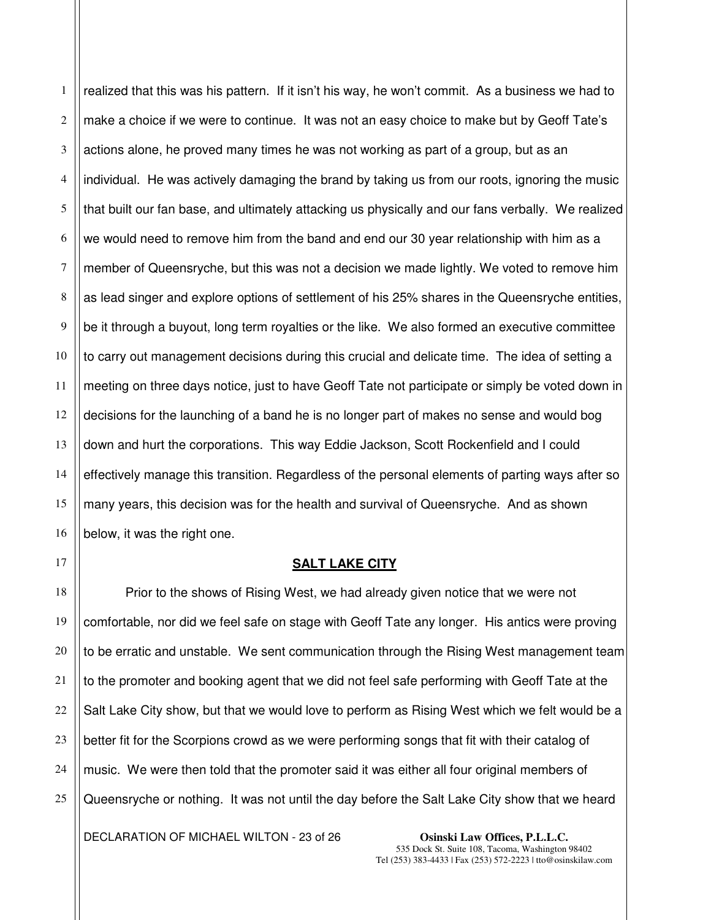1 2 3 4 5 6 7 8 9 10 11 12 13 14 15 16 realized that this was his pattern. If it isn't his way, he won't commit. As a business we had to make a choice if we were to continue. It was not an easy choice to make but by Geoff Tate's actions alone, he proved many times he was not working as part of a group, but as an individual. He was actively damaging the brand by taking us from our roots, ignoring the music that built our fan base, and ultimately attacking us physically and our fans verbally. We realized we would need to remove him from the band and end our 30 year relationship with him as a member of Queensryche, but this was not a decision we made lightly. We voted to remove him as lead singer and explore options of settlement of his 25% shares in the Queensryche entities, be it through a buyout, long term royalties or the like. We also formed an executive committee to carry out management decisions during this crucial and delicate time. The idea of setting a meeting on three days notice, just to have Geoff Tate not participate or simply be voted down in decisions for the launching of a band he is no longer part of makes no sense and would bog down and hurt the corporations. This way Eddie Jackson, Scott Rockenfield and I could effectively manage this transition. Regardless of the personal elements of parting ways after so many years, this decision was for the health and survival of Queensryche. And as shown below, it was the right one.

# **SALT LAKE CITY**

22 25 Prior to the shows of Rising West, we had already given notice that we were not comfortable, nor did we feel safe on stage with Geoff Tate any longer. His antics were proving to be erratic and unstable. We sent communication through the Rising West management team to the promoter and booking agent that we did not feel safe performing with Geoff Tate at the Salt Lake City show, but that we would love to perform as Rising West which we felt would be a better fit for the Scorpions crowd as we were performing songs that fit with their catalog of music. We were then told that the promoter said it was either all four original members of Queensryche or nothing. It was not until the day before the Salt Lake City show that we heard

DECLARATION OF MICHAEL WILTON - 23 of 26 **Osinski Law Offices, P.L.L.C.** 

17

18

19

20

21

23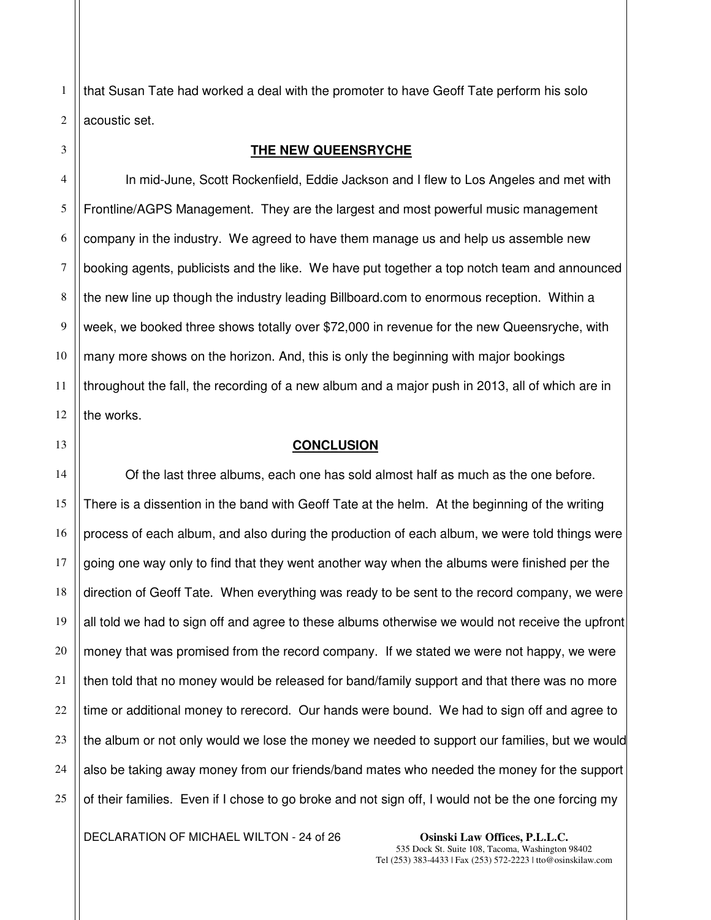2 that Susan Tate had worked a deal with the promoter to have Geoff Tate perform his solo acoustic set.

### **THE NEW QUEENSRYCHE**

4 5 6 7 8 9 10 11 12 In mid-June, Scott Rockenfield, Eddie Jackson and I flew to Los Angeles and met with Frontline/AGPS Management. They are the largest and most powerful music management company in the industry. We agreed to have them manage us and help us assemble new booking agents, publicists and the like. We have put together a top notch team and announced the new line up though the industry leading Billboard.com to enormous reception. Within a week, we booked three shows totally over \$72,000 in revenue for the new Queensryche, with many more shows on the horizon. And, this is only the beginning with major bookings throughout the fall, the recording of a new album and a major push in 2013, all of which are in the works.

13

21

1

3

## **CONCLUSION**

14 15 16 17 18 19 20 22 23 24 25 Of the last three albums, each one has sold almost half as much as the one before. There is a dissention in the band with Geoff Tate at the helm. At the beginning of the writing process of each album, and also during the production of each album, we were told things were going one way only to find that they went another way when the albums were finished per the direction of Geoff Tate. When everything was ready to be sent to the record company, we were all told we had to sign off and agree to these albums otherwise we would not receive the upfront money that was promised from the record company. If we stated we were not happy, we were then told that no money would be released for band/family support and that there was no more time or additional money to rerecord. Our hands were bound. We had to sign off and agree to the album or not only would we lose the money we needed to support our families, but we would also be taking away money from our friends/band mates who needed the money for the support of their families. Even if I chose to go broke and not sign off, I would not be the one forcing my

DECLARATION OF MICHAEL WILTON - 24 of 26 **Osinski Law Offices, P.L.L.C.**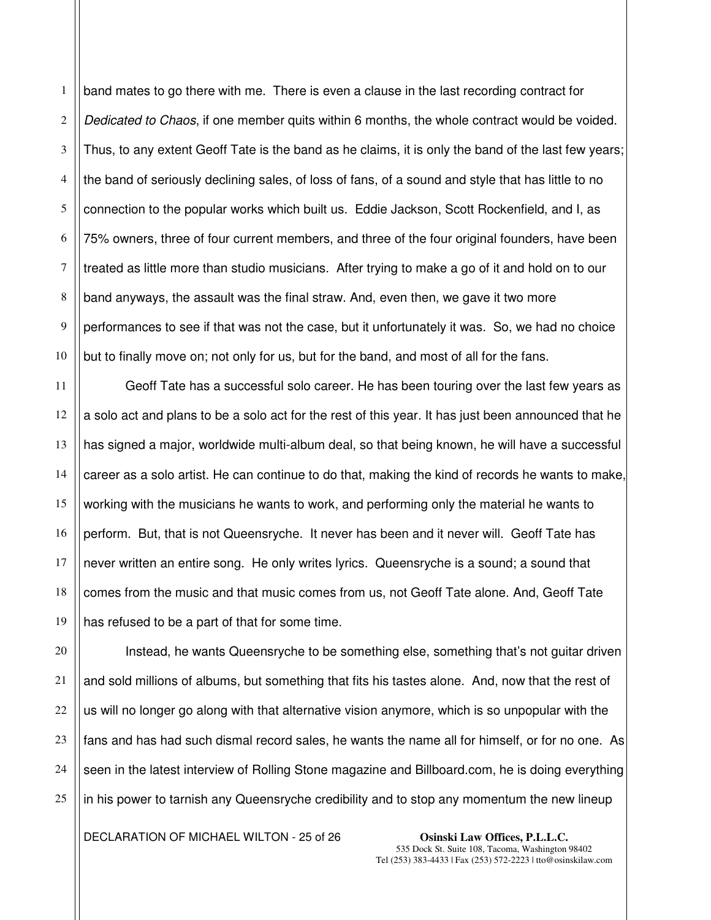1 2 3 4 5 band mates to go there with me. There is even a clause in the last recording contract for Dedicated to Chaos, if one member quits within 6 months, the whole contract would be voided. Thus, to any extent Geoff Tate is the band as he claims, it is only the band of the last few years; the band of seriously declining sales, of loss of fans, of a sound and style that has little to no connection to the popular works which built us. Eddie Jackson, Scott Rockenfield, and I, as 75% owners, three of four current members, and three of the four original founders, have been treated as little more than studio musicians. After trying to make a go of it and hold on to our band anyways, the assault was the final straw. And, even then, we gave it two more performances to see if that was not the case, but it unfortunately it was. So, we had no choice but to finally move on; not only for us, but for the band, and most of all for the fans.

 Geoff Tate has a successful solo career. He has been touring over the last few years as a solo act and plans to be a solo act for the rest of this year. It has just been announced that he has signed a major, worldwide multi-album deal, so that being known, he will have a successful career as a solo artist. He can continue to do that, making the kind of records he wants to make, working with the musicians he wants to work, and performing only the material he wants to perform. But, that is not Queensryche. It never has been and it never will. Geoff Tate has never written an entire song. He only writes lyrics. Queensryche is a sound; a sound that comes from the music and that music comes from us, not Geoff Tate alone. And, Geoff Tate has refused to be a part of that for some time.

Instead, he wants Queensryche to be something else, something that's not guitar driven and sold millions of albums, but something that fits his tastes alone. And, now that the rest of us will no longer go along with that alternative vision anymore, which is so unpopular with the fans and has had such dismal record sales, he wants the name all for himself, or for no one. As seen in the latest interview of Rolling Stone magazine and Billboard.com, he is doing everything in his power to tarnish any Queensryche credibility and to stop any momentum the new lineup

DECLARATION OF MICHAEL WILTON - 25 of 26 **Osinski Law Offices, P.L.L.C.**